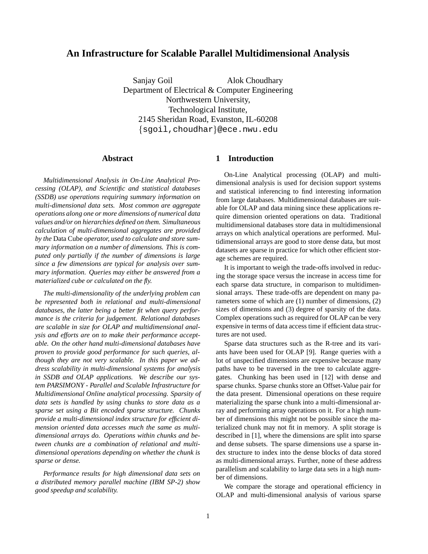# **An Infrastructure for Scalable Parallel Multidimensional Analysis**

Sanjay Goil Alok Choudhary Department of Electrical & Computer Engineering Northwestern University, Technological Institute, 2145 Sheridan Road, Evanston, IL-60208 fsgoil,choudharg@ece.nwu.edu

#### **Abstract**

*Multidimensional Analysis in On-Line Analytical Processing (OLAP), and Scientific and statistical databases (SSDB) use operations requiring summary information on multi-dimensional data sets. Most common are aggregate operations along one or more dimensions of numerical data values and/or on hierarchies defined on them. Simultaneous calculation of multi-dimensional aggregates are provided by the* Data Cube *operator, used to calculate and store summary information on a number of dimensions. This is computed only partially if the number of dimensions is large since a few dimensions are typical for analysis over summary information. Queries may either be answered from a materialized cube or calculated on the fly.*

*The multi-dimensionality of the underlying problem can be represented both in relational and multi-dimensional databases, the latter being a better fit when query performance is the criteria for judgement. Relational databases are scalable in size for OLAP and multidimensional analysis and efforts are on to make their performance acceptable. On the other hand multi-dimensional databases have proven to provide good performance for such queries, although they are not very scalable. In this paper we address scalability in multi-dimensional systems for analysis in SSDB and OLAP applications. We describe our system PARSIMONY - Parallel and Scalable Infrastructure for Multidimensional Online analytical processing. Sparsity of data sets is handled by using* chunks *to store data as a sparse set using a Bit encoded sparse structure. Chunks provide a multi-dimensional index structure for efficient dimension oriented data accesses much the same as multidimensional arrays do. Operations within chunks and between chunks are a combination of relational and multidimensional operations depending on whether the chunk is sparse or dense.*

*Performance results for high dimensional data sets on a distributed memory parallel machine (IBM SP-2) show good speedup and scalability.*

### **1 Introduction**

On-Line Analytical processing (OLAP) and multidimensional analysis is used for decision support systems and statistical inferencing to find interesting information from large databases. Multidimensional databases are suitable for OLAP and data mining since these applications require dimension oriented operations on data. Traditional multidimensional databases store data in multidimensional arrays on which analytical operations are performed. Multidimensional arrays are good to store dense data, but most datasets are sparse in practice for which other efficient storage schemes are required.

It is important to weigh the trade-offs involved in reducing the storage space versus the increase in access time for each sparse data structure, in comparison to multidimensional arrays. These trade-offs are dependent on many parameters some of which are (1) number of dimensions, (2) sizes of dimensions and (3) degree of sparsity of the data. Complex operations such as required for OLAP can be very expensive in terms of data access time if efficient data structures are not used.

Sparse data structures such as the R-tree and its variants have been used for OLAP [9]. Range queries with a lot of unspecified dimensions are expensive because many paths have to be traversed in the tree to calculate aggregates. Chunking has been used in [12] with dense and sparse chunks. Sparse chunks store an Offset-Value pair for the data present. Dimensional operations on these require materializing the sparse chunk into a multi-dimensional array and performing array operations on it. For a high number of dimensions this might not be possible since the materialized chunk may not fit in memory. A split storage is described in [1], where the dimensions are split into sparse and dense subsets. The sparse dimensions use a sparse index structure to index into the dense blocks of data stored as multi-dimensional arrays. Further, none of these address parallelism and scalability to large data sets in a high number of dimensions.

We compare the storage and operational efficiency in OLAP and multi-dimensional analysis of various sparse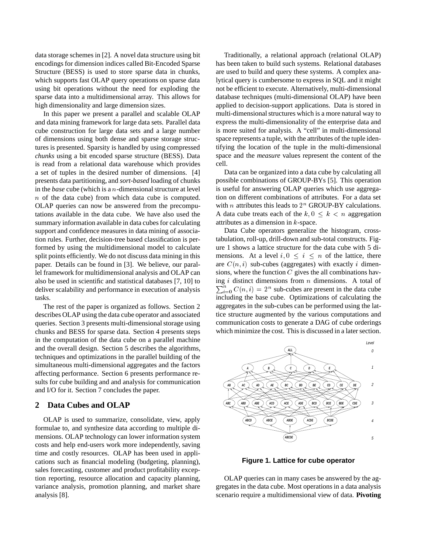data storage schemes in [2]. A novel data structure using bit encodings for dimension indices called Bit-Encoded Sparse Structure (BESS) is used to store sparse data in chunks, which supports fast OLAP query operations on sparse data using bit operations without the need for exploding the sparse data into a multidimensional array. This allows for high dimensionality and large dimension sizes.

In this paper we present a parallel and scalable OLAP and data mining framework for large data sets. Parallel data cube construction for large data sets and a large number of dimensions using both dense and sparse storage structures is presented. Sparsity is handled by using compressed *chunks* using a bit encoded sparse structure (BESS). Data is read from a relational data warehouse which provides a set of tuples in the desired number of dimensions. [4] presents data partitioning, and *sort-based* loading of chunks in the *base* cube (which is a n-dimensional structure at level n of the data cube) from which data cube is computed. OLAP queries can now be answered from the precomputations available in the data cube. We have also used the summary information available in data cubes for calculating support and confidence measures in data mining of association rules. Further, decision-tree based classification is performed by using the multidimensional model to calculate split points efficiently. We do not discuss data mining in this paper. Details can be found in [3]. We believe, our parallel framework for multidimensional analysis and OLAP can also be used in scientific and statistical databases [7, 10] to deliver scalability and performance in execution of analysis tasks.

The rest of the paper is organized as follows. Section 2 describes OLAP using the data cube operator and associated queries. Section 3 presents multi-dimensional storage using chunks and BESS for sparse data. Section 4 presents steps in the computation of the data cube on a parallel machine and the overall design. Section 5 describes the algorithms, techniques and optimizations in the parallel building of the simultaneous multi-dimensional aggregates and the factors affecting performance. Section 6 presents performance results for cube building and and analysis for communication and I/O for it. Section 7 concludes the paper.

### **2 Data Cubes and OLAP**

OLAP is used to summarize, consolidate, view, apply formulae to, and synthesize data according to multiple dimensions. OLAP technology can lower information system costs and help end-users work more independently, saving time and costly resources. OLAP has been used in applications such as financial modeling (budgeting, planning), sales forecasting, customer and product profitability exception reporting, resource allocation and capacity planning, variance analysis, promotion planning, and market share analysis [8].

Traditionally, a relational approach (relational OLAP) has been taken to build such systems. Relational databases are used to build and query these systems. A complex analytical query is cumbersome to express in SQL and it might not be efficient to execute. Alternatively, multi-dimensional database techniques (multi-dimensional OLAP) have been applied to decision-support applications. Data is stored in multi-dimensional structures which is a more natural way to express the multi-dimensionality of the enterprise data and is more suited for analysis. A "cell" in multi-dimensional space represents a tuple, with the attributes of the tuple identifying the location of the tuple in the multi-dimensional space and the *measure* values represent the content of the cell.

Data can be organized into a data cube by calculating all possible combinations of GROUP-BYs [5]. This operation is useful for answering OLAP queries which use aggregation on different combinations of attributes. For a data set with *n* attributes this leads to  $2^n$  GROUP-BY calculations. A data cube treats each of the  $k, 0 \leq k \leq n$  aggregation attributes as a dimension in k-space.

Data Cube operators generalize the histogram, crosstabulation, roll-up, drill-down and sub-total constructs. Figure 1 shows a lattice structure for the data cube with 5 dimensions. At a level  $i, 0 \le i \le n$  of the lattice, there are  $C(n, i)$  sub-cubes (aggregates) with exactly i dimensions, where the function  $C$  gives the all combinations hav- $\sum_{i=0}^{n} C(n,i) = 2^{n}$  sub-cubes are present in the data cube ing  $i$  distinct dimensions from  $n$  dimensions. A total of including the base cube. Optimizations of calculating the aggregates in the sub-cubes can be performed using the lattice structure augmented by the various computations and communication costs to generate a DAG of cube orderings which minimize the cost. This is discussed in a later section.



**Figure 1. Lattice for cube operator**

OLAP queries can in many cases be answered by the aggregates in the data cube. Most operations in a data analysis scenario require a multidimensional view of data. **Pivoting**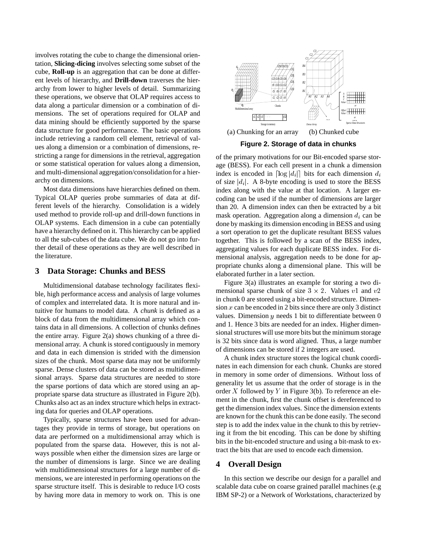involves rotating the cube to change the dimensional orientation, **Slicing-dicing** involves selecting some subset of the cube, **Roll-up** is an aggregation that can be done at different levels of hierarchy, and **Drill-down** traverses the hierarchy from lower to higher levels of detail. Summarizing these operations, we observe that OLAP requires access to data along a particular dimension or a combination of dimensions. The set of operations required for OLAP and data mining should be efficiently supported by the sparse data structure for good performance. The basic operations include retrieving a random cell element, retrieval of values along a dimension or a combination of dimensions, restricting a range for dimensions in the retrieval, aggregation or some statistical operation for values along a dimension, and multi-dimensional aggregation/consolidation for a hierarchy on dimensions.

Most data dimensions have hierarchies defined on them. Typical OLAP queries probe summaries of data at different levels of the hierarchy. Consolidation is a widely used method to provide roll-up and drill-down functions in OLAP systems. Each dimension in a cube can potentially have a hierarchy defined on it. This hierarchy can be applied to all the sub-cubes of the data cube. We do not go into further detail of these operations as they are well described in the literature.

#### **3 Data Storage: Chunks and BESS**

Multidimensional database technology facilitates flexible, high performance access and analysis of large volumes of complex and interrelated data. It is more natural and intuitive for humans to model data. A *chunk* is defined as a block of data from the multidimensional array which contains data in all dimensions. A collection of chunks defines the entire array. Figure 2(a) shows chunking of a three dimensional array. A chunk is stored contiguously in memory and data in each dimension is strided with the dimension sizes of the chunk. Most sparse data may not be uniformly sparse. Dense clusters of data can be stored as multidimensional arrays. Sparse data structures are needed to store the sparse portions of data which are stored using an appropriate sparse data structure as illustrated in Figure 2(b). Chunks also act as an index structure which helps in extracting data for queries and OLAP operations.

Typically, sparse structures have been used for advantages they provide in terms of storage, but operations on data are performed on a multidimensional array which is populated from the sparse data. However, this is not always possible when either the dimension sizes are large or the number of dimensions is large. Since we are dealing with multidimensional structures for a large number of dimensions, we are interested in performing operations on the sparse structure itself. This is desirable to reduce I/O costs by having more data in memory to work on. This is one



**Figure 2. Storage of data in chunks**

of the primary motivations for our Bit-encoded sparse storage (BESS). For each cell present in a chunk a dimension index is encoded in  $\lceil \log |d_i| \rceil$  bits for each dimension  $d_i$ of size  $|d_i|$ . A 8-byte encoding is used to store the BESS index along with the value at that location. A larger encoding can be used if the number of dimensions are larger than 20. A dimension index can then be extracted by a bit mask operation. Aggregation along a dimension  $d_i$  can be done by masking its dimension encoding in BESS and using a sort operation to get the duplicate resultant BESS values together. This is followed by a scan of the BESS index, aggregating values for each duplicate BESS index. For dimensional analysis, aggregation needs to be done for appropriate chunks along a dimensional plane. This will be elaborated further in a later section.

Figure 3(a) illustrates an example for storing a two dimensional sparse chunk of size  $3 \times 2$ . Values v1 and v2 in chunk 0 are stored using a bit-encoded structure. Dimension  $x$  can be encoded in 2 bits since there are only 3 distinct values. Dimension y needs 1 bit to differentiate between 0 and 1. Hence 3 bits are needed for an index. Higher dimensional structures will use more bits but the minimum storage is 32 bits since data is word aligned. Thus, a large number of dimensions can be stored if 2 integers are used.

A chunk index structure stores the logical chunk coordinates in each dimension for each chunk. Chunks are stored in memory in some order of dimensions. Without loss of generality let us assume that the order of storage is in the order X followed by Y in Figure 3(b). To reference an element in the chunk, first the chunk offset is dereferenced to get the dimension index values. Since the dimension extents are known for the chunk this can be done easily. The second step is to add the index value in the chunk to this by retrieving it from the bit encoding. This can be done by shifting bits in the bit-encoded structure and using a bit-mask to extract the bits that are used to encode each dimension.

#### **4 Overall Design**

In this section we describe our design for a parallel and scalable data cube on coarse grained parallel machines (e.g IBM SP-2) or a Network of Workstations, characterized by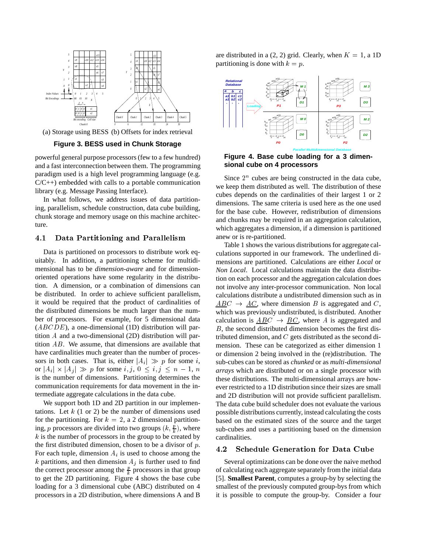

(a) Storage using BESS (b) Offsets for index retrieval

#### **Figure 3. BESS used in Chunk Storage**

powerful general purpose processors (few to a few hundred) and a fast interconnection between them. The programming paradigm used is a high level programming language (e.g.  $C/C++$ ) embedded with calls to a portable communication library (e.g. Message Passing Interface).

In what follows, we address issues of data partitioning, parallelism, schedule construction, data cube building, chunk storage and memory usage on this machine architecture.

### 4.1 Data Partitioning and Parallelism

Data is partitioned on processors to distribute work equitably. In addition, a partitioning scheme for multidimensional has to be *dimension-aware* and for dimensionoriented operations have some regularity in the distribution. A dimension, or a combination of dimensions can be distributed. In order to achieve sufficient parallelism, it would be required that the product of cardinalities of the distributed dimensions be much larger than the number of processors. For example, for 5 dimensional data  $(ABCDE)$ , a one-dimensional (1D) distribution will partition A and a two-dimensional (2D) distribution will partition AB. We assume, that dimensions are available that have cardinalities much greater than the number of processors in both cases. That is, either  $|A_i| \gg p$  for some i, or  $|A_i| \times |A_j| \gg p$  for some  $i, j, 0 \leq i, j \leq n-1, n$  array is the number of dimensions. Partitioning determines the communication requirements for data movement in the intermediate aggregate calculations in the data cube.

We support both 1D and 2D partition in our implementations. Let  $k$  (1 or 2) be the number of dimensions used for the partitioning. For  $k = 2$ , a 2 dimensional partitioning, p processors are divided into two groups  $(k, \frac{p}{k})$ , where  $k$  is the number of processors in the group to be created by the first distributed dimension, chosen to be a divisor of p. For each tuple, dimension  $A_i$  is used to choose among the k partitions, and then dimension  $A_j$  is further used to find the correct processor among the  $\frac{p}{k}$  processors in that group to get the 2D partitioning. Figure 4 shows the base cube loading for a 3 dimensional cube (ABC) distributed on 4 processors in a 2D distribution, where dimensions A and B

are distributed in a (2, 2) grid. Clearly, when  $K = 1$ , a 1D partitioning is done with  $k = p$ .



**Figure 4. Base cube loading for a 3 dimensional cube on 4 processors**

Since  $2^n$  cubes are being constructed in the data cube, we keep them distributed as well. The distribution of these cubes depends on the cardinalities of their largest 1 or 2 dimensions. The same criteria is used here as the one used for the base cube. However, redistribution of dimensions and chunks may be required in an aggregation calculation, which aggregates a dimension, if a dimension is partitioned anew or is re-partitioned.

Table 1 shows the various distributions for aggregate calculations supported in our framework. The underlined dimensions are partitioned. Calculations are either *Local* or *Non Local*. Local calculations maintain the data distribution on each processor and the aggregation calculation does not involve any inter-processor communication. Non local calculations distribute a undistributed dimension such as in  $ABC \rightarrow AC$ , where dimension B is aggregated and C, which was previously undistributed, is distributed. Another calculation is  $\triangle ABC \rightarrow BC$ , where A is aggregated and B, the second distributed dimension becomes the first distributed dimension, and  $C$  gets distributed as the second dimension. These can be categorized as either dimension 1 or dimension 2 being involved in the (re)distribution. The sub-cubes can be stored as *chunked* or as *multi-dimensional arrays* which are distributed or on a single processor with these distributions. The multi-dimensional arrays are however restricted to a 1D distribution since their sizes are small and 2D distribution will not provide sufficient parallelism. The data cube build scheduler does not evaluate the various possible distributions currently, instead calculating the costs based on the estimated sizes of the source and the target sub-cubes and uses a partitioning based on the dimension cardinalities.

#### 4.2 Schedule Generation for Data Cube

Several optimizations can be done over the naive method of calculating each aggregate separately from the initial data [5]. **Smallest Parent**, computes a group-by by selecting the smallest of the previously computed group-bys from which it is possible to compute the group-by. Consider a four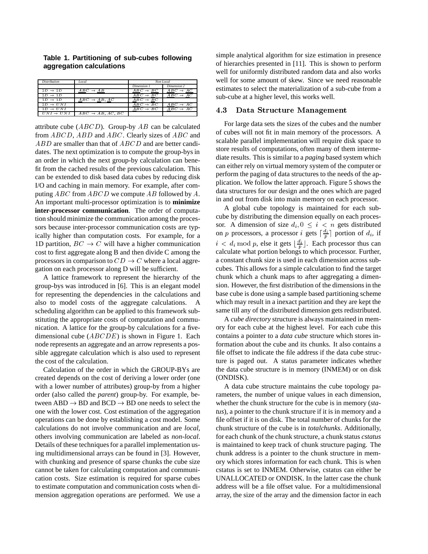| <b>Distribution</b>   | Local                          | Non Local             |                      | v            |
|-----------------------|--------------------------------|-----------------------|----------------------|--------------|
|                       |                                | Dimension 1           | Dimension 2          |              |
| $2D \rightarrow 2D$   | $ABC \rightarrow AB$           | $AB C \rightarrow BC$ | $ABC \rightarrow AC$ | e            |
| $2D \rightarrow 1D$   |                                | $ABC \rightarrow BC$  | $ABC \rightarrow AC$ | <sub>S</sub> |
| $1D \rightarrow 1D$   | $ABC \rightarrow AB \cdot AC$  | $ABC \rightarrow BC$  |                      |              |
| $2D \rightarrow UNI$  |                                | $AB C \rightarrow BC$ | $ABC \rightarrow AC$ |              |
| $1D \rightarrow UNI$  |                                | $ABC \rightarrow BC$  | $ABC \rightarrow AC$ |              |
| $UNI \rightarrow UNI$ | $ABC \rightarrow AB$ $AC$ $BC$ |                       |                      |              |

**Table 1. Partitioning of sub-cubes following aggregation calculations**

attribute cube  $(ABCD)$ . Group-by  $AB$  can be calculated from ABCD, ABD and ABC. Clearly sizes of ABC and ABD are smaller than that of ABCD and are better candidates. The next optimization is to compute the group-bys in an order in which the next group-by calculation can benefit from the cached results of the previous calculation. This can be extended to disk based data cubes by reducing disk I/O and caching in main memory. For example, after computing  $ABC$  from  $ABCD$  we compute AB followed by A. An important multi-processor optimization is to **minimize inter-processor communication**. The order of computation should minimize the communication among the processors because inter-processor communication costs are typically higher than computation costs. For example, for a 1D partition,  $BC \rightarrow C$  will have a higher communication cost to first aggregate along B and then divide C among the processors in comparison to  $CD \rightarrow C$  where a local aggregation on each processor along D will be sufficient.

A lattice framework to represent the hierarchy of the group-bys was introduced in [6]. This is an elegant model for representing the dependencies in the calculations and also to model costs of the aggregate calculations. A scheduling algorithm can be applied to this framework substituting the appropriate costs of computation and communication. A lattice for the group-by calculations for a fivedimensional cube  $(ABCDE)$  is shown in Figure 1. Each node represents an aggregate and an arrow represents a possible aggregate calculation which is also used to represent the cost of the calculation.

Calculation of the order in which the GROUP-BYs are created depends on the cost of deriving a lower order (one with a lower number of attributes) group-by from a higher order (also called the *parent*) group-by. For example, between  $ABD \rightarrow BD$  and  $BCD \rightarrow BD$  one needs to select the one with the lower cost. Cost estimation of the aggregation operations can be done by establishing a cost model. Some calculations do not involve communication and are *local*, others involving communication are labeled as *non-local*. Details of these techniques for a parallel implementation using multidimensional arrays can be found in [3]. However, with chunking and presence of sparse chunks the cube size cannot be taken for calculating computation and communication costs. Size estimation is required for sparse cubes to estimate computation and communication costs when dimension aggregation operations are performed. We use a simple analytical algorithm for size estimation in presence of hierarchies presented in [11]. This is shown to perform well for uniformly distributed random data and also works well for some amount of skew. Since we need reasonable estimates to select the materialization of a sub-cube from a sub-cube at a higher level, this works well.

#### 4.3 Data Structure Management

For large data sets the sizes of the cubes and the number of cubes will not fit in main memory of the processors. A scalable parallel implementation will require disk space to store results of computations, often many of them intermediate results. This is similar to a *paging* based system which can either rely on virtual memory system of the computer or perform the paging of data structures to the needs of the application. We follow the latter approach. Figure 5 shows the data structures for our design and the ones which are paged in and out from disk into main memory on each processor.

A global cube topology is maintained for each subcube by distributing the dimension equally on each processor. A dimension of size  $d_i, 0 \leq i \leq n$  gets distributed on p processors, a processor i gets  $\lceil \frac{d_i}{p} \rceil$  portion of  $d_i$ , if  $i < d_i \mod p$ , else it gets  $\lfloor \frac{d_i}{p} \rfloor$ . Each processor thus can calculate what portion belongs to which processor. Further, a constant chunk size is used in each dimension across subcubes. This allows for a simple calculation to find the target chunk which a chunk maps to after aggregating a dimension. However, the first distribution of the dimensions in the base cube is done using a sample based partitioning scheme which may result in a inexact partition and they are kept the same till any of the distributed dimension gets redistributed.

A *cube directory* structure is always maintained in memory for each cube at the highest level. For each cube this contains a pointer to a *data cube* structure which stores information about the cube and its chunks. It also contains a file offset to indicate the file address if the data cube structure is paged out. A status parameter indicates whether the data cube structure is in memory (INMEM) or on disk (ONDISK).

A data cube structure maintains the cube topology parameters, the number of unique values in each dimension, whether the chunk structure for the cube is in memory (*status*), a pointer to the chunk structure if it is in memory and a file offset if it is on disk. The total number of chunks for the chunk structure of the cube is in *totalchunks*. Additionally, for each chunk of the chunk structure, a chunk status *cstatus* is maintained to keep track of chunk structure paging. The chunk address is a pointer to the chunk structure in memory which stores information for each chunk. This is when cstatus is set to INMEM. Otherwise, cstatus can either be UNALLOCATED or ONDISK. In the latter case the chunk address will be a file offset value. For a multidimensional array, the size of the array and the dimension factor in each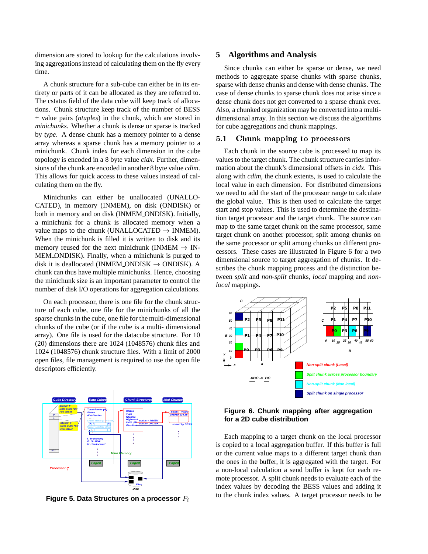dimension are stored to lookup for the calculations involving aggregations instead of calculating them on the fly every time.

A chunk structure for a sub-cube can either be in its entirety or parts of it can be allocated as they are referred to. The cstatus field of the data cube will keep track of allocations. Chunk structure keep track of the number of BESS + value pairs (*ntuples*) in the chunk, which are stored in *minichunks*. Whether a chunk is dense or sparse is tracked by *type*. A dense chunk has a memory pointer to a dense array whereas a sparse chunk has a memory pointer to a minichunk. Chunk index for each dimension in the cube topology is encoded in a 8 byte value *cidx*. Further, dimensions of the chunk are encoded in another 8 byte value *cdim*. This allows for quick access to these values instead of calculating them on the fly.

Minichunks can either be unallocated (UNALLO-CATED), in memory (INMEM), on disk (ONDISK) or both in memory and on disk (INMEM ONDISK). Initially, a minichunk for a chunk is allocated memory when a value maps to the chunk (UNALLOCATED  $\rightarrow$  INMEM). When the minichunk is filled it is written to disk and its memory reused for the next minichunk (INMEM  $\rightarrow$  IN-MEM ONDISK). Finally, when a minichunk is purged to disk it is deallocated (INMEM\_ONDISK  $\rightarrow$  ONDISK). A chunk can thus have multiple minichunks. Hence, choosing the minichunk size is an important parameter to control the number of disk I/O operations for aggregation calculations.

On each processor, there is one file for the chunk structure of each cube, one file for the minichunks of all the sparse chunks in the cube, one file for the multi-dimensional chunks of the cube (or if the cube is a multi- dimensional array). One file is used for the datacube structure. For 10 (20) dimensions there are 1024 (1048576) chunk files and 1024 (1048576) chunk structure files. With a limit of 2000 open files, file management is required to use the open file descriptors efficiently.



**Figure 5. Data Structures on a processor** Pi

#### **5 Algorithms and Analysis**

Since chunks can either be sparse or dense, we need methods to aggregate sparse chunks with sparse chunks, sparse with dense chunks and dense with dense chunks. The case of dense chunks to sparse chunk does not arise since a dense chunk does not get converted to a sparse chunk ever. Also, a chunked organization may be converted into a multidimensional array. In this section we discuss the algorithms for cube aggregations and chunk mappings.

#### $5.1$ 5.1 Chunk mapping to processors

Each chunk in the source cube is processed to map its values to the target chunk. The chunk structure carries information about the chunk's dimensional offsets in *cidx*. This along with *cdim*, the chunk extents, is used to calculate the local value in each dimension. For distributed dimensions we need to add the start of the processor range to calculate the global value. This is then used to calculate the target start and stop values. This is used to determine the destination target processor and the target chunk. The source can map to the same target chunk on the same processor, same target chunk on another processor, split among chunks on the same processor or split among chunks on different processors. These cases are illustrated in Figure 6 for a two dimensional source to target aggregation of chunks. It describes the chunk mapping process and the distinction between *split* and *non-split* chunks, *local* mapping and *nonlocal* mappings.



**Figure 6. Chunk mapping after aggregation for a 2D cube distribution**

Each mapping to a target chunk on the local processor is copied to a local aggregation buffer. If this buffer is full or the current value maps to a different target chunk than the ones in the buffer, it is aggregated with the target. For a non-local calculation a send buffer is kept for each remote processor. A split chunk needs to evaluate each of the index values by decoding the BESS values and adding it to the chunk index values. A target processor needs to be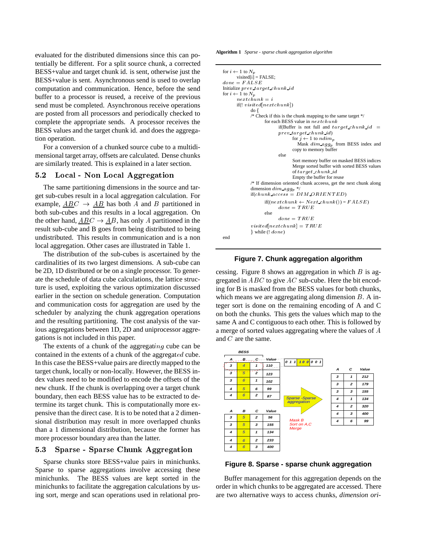evaluated for the distributed dimensions since this can potentially be different. For a split source chunk, a corrected BESS+value and target chunk id. is sent, otherwise just the BESS+value is sent. Asynchronous send is used to overlap computation and communication. Hence, before the send buffer to a processor is reused, a receive of the previous send must be completed. Asynchronous receive operations are posted from all processors and periodically checked to complete the appropriate sends. A processor receives the BESS values and the target chunk id. and does the aggregation operation.

For a conversion of a chunked source cube to a multidimensional target array, offsets are calculated. Dense chunks are similarly treated. This is explained in a later section.

### 5.2 Local - Non Local Aggregation

The same partitioning dimensions in the source and target sub-cubes result in a local aggregation calculation. For example,  $\overline{ABC}$   $\rightarrow$   $\overline{AB}$  has both A and B partitioned in both sub-cubes and this results in a local aggregation. On the other hand,  $ABC \rightarrow AB$ , has only A partitioned in the result sub-cube and B goes from being distributed to being undistributed. This results in communication and is a non local aggregation. Other cases are illustrated in Table 1.

The distribution of the sub-cubes is ascertained by the cardinalities of its two largest dimensions. A sub-cube can be 2D, 1D distributed or be on a single processor. To generate the schedule of data cube calculations, the lattice structure is used, exploiting the various optimization discussed earlier in the section on schedule generation. Computation and communication costs for aggregation are used by the scheduler by analyzing the chunk aggregation operations and the resulting partitioning. The cost analysis of the various aggregations between 1D, 2D and uniprocessor aggregations is not included in this paper.

The extents of a chunk of the aggregating cube can be contained in the extents of a chunk of the aggregated cube. In this case the BESS+value pairs are directly mapped to the target chunk, locally or non-locally. However, the BESS index values need to be modified to encode the offsets of the new chunk. If the chunk is overlapping over a target chunk boundary, then each BESS value has to be extracted to determine its target chunk. This is computationally more expensive than the direct case. It is to be noted that a 2 dimensional distribution may result in more overlapped chunks than a 1 dimensional distribution, because the former has more processor boundary area than the latter.

#### 5.3 Sparse - Sparse Chunk Aggregation

Sparse chunks store BESS+value pairs in minichunks. Sparse to sparse aggregations involve accessing these minichunks. The BESS values are kept sorted in the minichunks to facilitate the aggregation calculations by using sort, merge and scan operations used in relational pro**Algorithm 1** *Sparse - sparse chunk aggregation algorithm*

```
for i \leftarrow 1 to N_pvisited[i] = FALSE;
done = FALSEInitialize prev_target_chunk_id
for i \leftarrow 1 to N_pnextchunk = iif(! visited[nextchunk])
            do f
            /* Check if this is the chunk mapping to the same target */
                   for each BESS value in nextchunkif(Buffer is not full and target\_chunk\_id =
                          prev target chunk id)
                                 for j \leftarrow 1 to ndim_pMask dim\; a\; gg_p from BESS index and
                                 copy to memory buffer
                          else
                                 Sort memory buffer on masked BESS indices
                                 Merge sorted buffer with sorted BESS values
                                 of target\_chunk\_idEmpty the buffer for reuse
             /* If dimension oriented chunk acceess, get the next chunk along
             dimension \dim_{-}agg_p * /<br>if(ch unk_access = DIM\_ORIENTED)
                   if((nextchunk \leftarrow Nextchunk))) = FALSE)done = TRUEelse
                          done = TRUEvisited[nextchunk] = TRUEwhile (! done)
end
```
#### **Figure 7. Chunk aggregation algorithm**

cessing. Figure 8 shows an aggregation in which  $B$  is aggregated in  $ABC$  to give  $AC$  sub-cube. Here the bit encoding for B is masked from the BESS values for both chunks, which means we are aggregating along dimension  $B$ . A integer sort is done on the remaining encoding of A and C on both the chunks. This gets the values which map to the same A and C contiguous to each other. This is followed by a merge of sorted values aggregating where the values of A and C are the same.



**Figure 8. Sparse - sparse chunk aggregation**

Buffer management for this aggregation depends on the order in which chunks to be aggregated are accessed. There are two alternative ways to access chunks, *dimension ori-*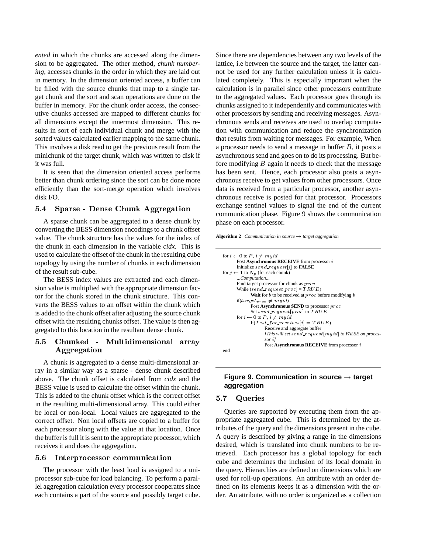*ented* in which the chunks are accessed along the dimension to be aggregated. The other method, *chunk numbering*, accesses chunks in the order in which they are laid out in memory. In the dimension oriented access, a buffer can be filled with the source chunks that map to a single target chunk and the sort and scan operations are done on the buffer in memory. For the chunk order access, the consecutive chunks accessed are mapped to different chunks for all dimensions except the innermost dimension. This results in sort of each individual chunk and merge with the sorted values calculated earlier mapping to the same chunk. This involves a disk read to get the previous result from the minichunk of the target chunk, which was written to disk if it was full.

It is seen that the dimension oriented access performs better than chunk ordering since the sort can be done more efficiently than the sort-merge operation which involves disk I/O.

#### 5.4 Sparse - Dense Chunk Aggregation

A sparse chunk can be aggregated to a dense chunk by converting the BESS dimension encodings to a chunk offset value. The chunk structure has the values for the index of the chunk in each dimension in the variable *cidx*. This is used to calculate the offset of the chunk in the resulting cube topology by using the number of chunks in each dimension of the result sub-cube.

The BESS index values are extracted and each dimension value is multiplied with the appropriate dimension factor for the chunk stored in the chunk structure. This converts the BESS values to an offset within the chunk which is added to the chunk offset after adjusting the source chunk offset with the resulting chunks offset. The value is then aggregated to this location in the resultant dense chunk.

#### 5.5 5.5 Chunked - Multidimensional array Aggregation

A chunk is aggregated to a dense multi-dimensional array in a similar way as a sparse - dense chunk described above. The chunk offset is calculated from *cidx* and the BESS value is used to calculate the offset within the chunk. This is added to the chunk offset which is the correct offset in the resulting multi-dimensional array. This could either be local or non-local. Local values are aggregated to the correct offset. Non local offsets are copied to a buffer for each processor along with the value at that location. Once the buffer is full it is sent to the appropriate processor, which receives it and does the aggregation.

#### 5.6 Interprocessor communication

The processor with the least load is assigned to a uniprocessor sub-cube for load balancing. To perform a parallel aggregation calculation every processor cooperates since each contains a part of the source and possibly target cube. Since there are dependencies between any two levels of the lattice, i.e between the source and the target, the latter cannot be used for any further calculation unless it is calculated completely. This is especially important when the calculation is in parallel since other processors contribute to the aggregated values. Each processor goes through its chunks assigned to it independently and communicates with other processors by sending and receiving messages. Asynchronous sends and receives are used to overlap computation with communication and reduce the synchronization that results from waiting for messages. For example, When a processor needs to send a message in buffer  $B$ , it posts a asynchronous send and goes on to do its processing. But before modifying  $B$  again it needs to check that the message has been sent. Hence, each processor also posts a asynchronous receive to get values from other processors. Once data is received from a particular processor, another asynchronous receive is posted for that processor. Processors exchange sentinel values to signal the end of the current communication phase. Figure 9 shows the communication phase on each processor.

|  |  |  | <b>Algorithm 2</b> <i>Communication in source</i> $\rightarrow$ target aggregation |
|--|--|--|------------------------------------------------------------------------------------|
|--|--|--|------------------------------------------------------------------------------------|

| for $i \leftarrow 0$ to $P, i \neq myid$                      |
|---------------------------------------------------------------|
| Post Asynchronous RECEIVE from processor i                    |
| Initialize send request i to FALSE                            |
| for $j \leftarrow 1$ to $N_p$ (for each chunk)                |
| Computation                                                   |
| Find target processor for chunk as $\text{proc}$              |
| While (send_request[proc] = $TRUE$ )                          |
| <b>Wait</b> for b to be received at $proc$ before modifying b |
| if(target <sub>proc</sub> $\neq$ myid)                        |
| Post <b>Asynchronous SEND</b> to processor $\text{proc}$      |
| Set send request $[\text{proc}]$ to $TRUE$                    |
| for $i \leftarrow 0$ to $P, i \neq m$ yid                     |
| If $Test\ for\ receives\ [i] = TRUE$                          |
| Receive and aggregate buffer                                  |
| [This will set send_request   myid] to FALSE on proces-       |
| sor i                                                         |
| Post Asynchronous RECEIVE from processor i                    |
| end                                                           |
|                                                               |

#### **Figure 9. Communication in source** ! **target aggregation**

#### $5.7$ **Queries**

Queries are supported by executing them from the appropriate aggregated cube. This is determined by the attributes of the query and the dimensions present in the cube. A query is described by giving a range in the dimensions desired, which is translated into chunk numbers to be retrieved. Each processor has a global topology for each cube and determines the inclusion of its local domain in the query. Hierarchies are defined on dimensions which are used for roll-up operations. An attribute with an order defined on its elements keeps it as a dimension with the order. An attribute, with no order is organized as a collection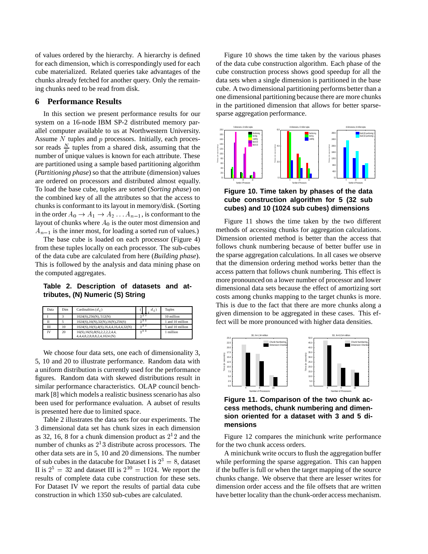of values ordered by the hierarchy. A hierarchy is defined for each dimension, which is correspondingly used for each cube materialized. Related queries take advantages of the chunks already fetched for another query. Only the remaining chunks need to be read from disk.

### **6 Performance Results**

In this section we present performance results for our system on a 16-node IBM SP-2 distributed memory parallel computer available to us at Northwestern University. Assume  $N$  tuples and  $p$  processors. Initially, each processor reads  $\frac{N}{p}$  tuples from a shared disk, assuming that the number of unique values is known for each attribute. These are partitioned using a sample based partitioning algorithm (*Partitioning phase*) so that the attribute (dimension) values are ordered on processors and distributed almost equally. To load the base cube, tuples are sorted (*Sorting phase*) on the combined key of all the attributes so that the access to chunks is conformant to its layout in memory/disk. (Sorting in the order  $A_0 \rightarrow A_1 \rightarrow A_2 \dots A_{n-1}$ , is conformant to the layout of chunks where  $A_0$  is the outer most dimension and  $A_{n-1}$  is the inner most, for loading a sorted run of values.)

The base cube is loaded on each processor (Figure 4) from these tuples locally on each processor. The sub-cubes of the data cube are calculated from here (*Building phase*). This is followed by the analysis and data mining phase on the computed aggregates.

**Table 2. Description of datasets and attributes, (N) Numeric (S) String**

| Data | Dim | Cardinalities $(d_2)$                                                 | $d_i$    | Tuples           |
|------|-----|-----------------------------------------------------------------------|----------|------------------|
|      |     | 1024(S), 256(N), 512(N)                                               | 27       | 10 million       |
|      |     | 1024(S), 16(N), 32(N), 16(N), 256(S)                                  | $2^{31}$ | 1 and 10 million |
| Ш    | 10  | $1024(S), 16(S), 4(S), 16, 4, 4, 16, 4, 4, 32(N)$                     | 237      | 5 and 10 million |
| IV   | 20  | 16(S), 16(S), 8(S), 2, 2, 2, 2, 4, 4,<br>4,4,4,8,2,8,8,8,2,4,1024 (N) | $2^{51}$ | 1 million        |

We choose four data sets, one each of dimensionality 3, 5, 10 and 20 to illustrate performance. Random data with a uniform distribution is currently used for the performance figures. Random data with skewed distributions result in similar performance characteristics. OLAP council benchmark [8] which models a realistic business scenario has also been used for performance evaluation. A aubset of results is presented here due to limited space.

Table 2 illustrates the data sets for our experiments. The 3 dimensional data set has chunk sizes in each dimension as 32, 16, 8 for a chunk dimension product as  $2^{12}$  and the number of chunks as  $2<sup>1</sup>3$  distribute across processors. The other data sets are in 5, 10 and 20 dimensions. The number of sub cubes in the datacube for Dataset I is  $2^3 = 8$ , dataset II is  $2^5 = 32$  and dataset III is  $2^{10} = 1024$ . We report the results of complete data cube construction for these sets. For Dataset IV we report the results of partial data cube construction in which 1350 sub-cubes are calculated.

Figure 10 shows the time taken by the various phases of the data cube construction algorithm. Each phase of the cube construction process shows good speedup for all the data sets when a single dimension is partitioned in the base cube. A two dimensional partitioning performs better than a one dimensional partitioning because there are more chunks in the partitioned dimension that allows for better sparsesparse aggregation performance.



**Figure 10. Time taken by phases of the data cube construction algorithm for 5 (32 sub cubes) and 10 (1024 sub cubes) dimensions**

Figure 11 shows the time taken by the two different methods of accessing chunks for aggregation calculations. Dimension oriented method is better than the access that follows chunk numbering because of better buffer use in the sparse aggregation calculations. In all cases we observe that the dimension ordering method works better than the access pattern that follows chunk numbering. This effect is more pronounced on a lower number of processor and lower dimensional data sets because the effect of amortizing sort costs among chunks mapping to the target chunks is more. This is due to the fact that there are more chunks along a given dimension to be aggregated in these cases. This effect will be more pronounced with higher data densities.



**Figure 11. Comparison of the two chunk access methods, chunk numbering and dimension oriented for a dataset with 3 and 5 dimensions**

Figure 12 compares the minichunk write performance for the two chunk access orders.

A minichunk write occurs to flush the aggregation buffer while performing the sparse aggregation. This can happen if the buffer is full or when the target mapping of the source chunks change. We observe that there are lesser writes for dimension order access and the file offsets that are written have better locality than the chunk-order access mechanism.